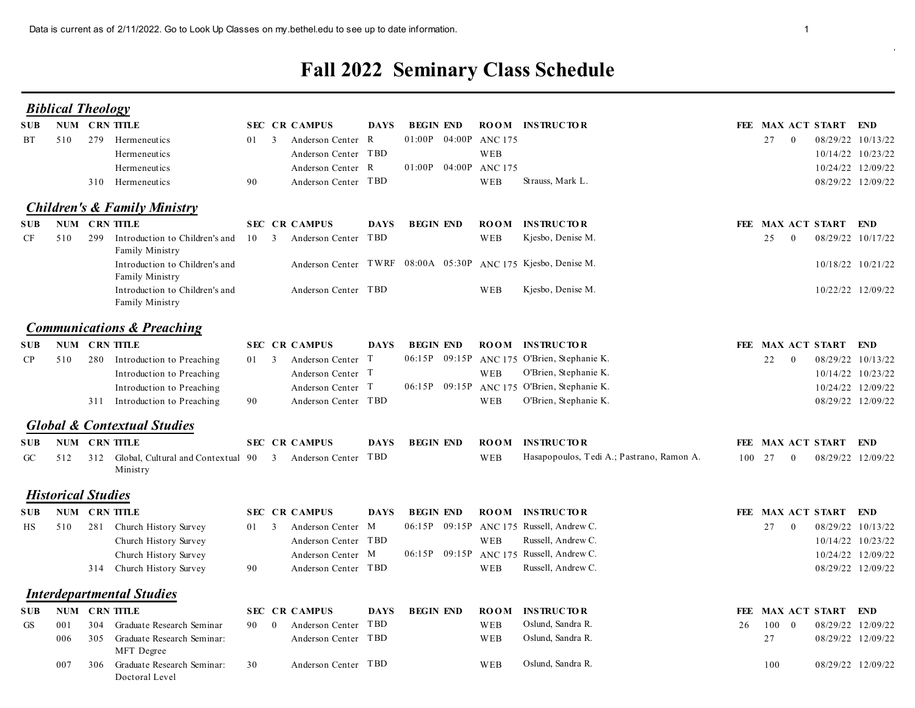## Fall 2022 Seminary Class Schedule

|            |            |                                                                                         |              |                                                                                                              |             |                                                                    |                    | <b>Fall 2022 Seminary Class Schedule</b>                                                                            |    |                                         |                   |                                                                                  |
|------------|------------|-----------------------------------------------------------------------------------------|--------------|--------------------------------------------------------------------------------------------------------------|-------------|--------------------------------------------------------------------|--------------------|---------------------------------------------------------------------------------------------------------------------|----|-----------------------------------------|-------------------|----------------------------------------------------------------------------------|
|            |            | <b>Biblical Theology</b>                                                                |              |                                                                                                              |             |                                                                    |                    |                                                                                                                     |    |                                         |                   |                                                                                  |
| SUB-<br>BT | 510        | NUM CRN TITLE<br>279 Hermeneutics<br>Hermeneutics<br>Hermeneutics<br>310 Hermeneutics   | 01 3<br>90   | <b>SEC CR CAMPUS</b><br>Anderson Center R<br>Anderson Center TBD<br>Anderson Center R<br>Anderson Center TBD | <b>DAYS</b> | <b>BEGIN END</b><br>01:00P 04:00P ANC 175<br>01:00P 04:00P ANC 175 | WEB<br>WEB         | <b>ROOM INSTRUCTOR</b><br>Strauss, Mark L.                                                                          |    | FEE MAX ACT START END<br>27<br>$\bf{0}$ |                   | 08/29/22 10/13/22<br>10/14/22 10/23/22<br>10/24/22 12/09/22<br>08/29/22 12/09/22 |
|            |            | <b>Children's &amp; Family Ministry</b>                                                 |              |                                                                                                              |             |                                                                    |                    |                                                                                                                     |    |                                         |                   |                                                                                  |
| SUB-<br>CF | 510        | NUM CRN TITLE<br>299<br>Introduction to Children's and<br>Family Ministry               |              | <b>SEC CR CAMPUS</b><br>10 3 Anderson Center TBD                                                             | <b>DAYS</b> | <b>BEGIN END</b>                                                   | <b>ROOM</b><br>WEB | <b>INSTRUCTOR</b><br>Kjesbo, Denise M.                                                                              |    | FEE MAX ACT START END<br>25<br>- 0      |                   | 08/29/22 10/17/22                                                                |
|            |            | Introduction to Children's and<br>Family Ministry<br>Introduction to Children's and     |              | Anderson Center TBD                                                                                          |             |                                                                    | WEB                | Anderson Center TWRF 08:00A 05:30P ANC 175 Kjesbo, Denise M.<br>Kjesbo, Denise M.                                   |    |                                         |                   | 10/18/22 10/21/22<br>10/22/22 12/09/22                                           |
|            |            | Family Ministry                                                                         |              |                                                                                                              |             |                                                                    |                    |                                                                                                                     |    |                                         |                   |                                                                                  |
|            |            | <b>Communications &amp; Preaching</b><br>NUM CRN TITLE                                  |              | SEC CR CAMPUS                                                                                                |             | DAYS BEGIN END ROOM INSTRUCTOR                                     |                    |                                                                                                                     |    | FEE MAX ACT START END                   |                   |                                                                                  |
| SUB.<br>CP | 510        | 280 Introduction to Preaching<br>Introduction to Preaching<br>Introduction to Preaching | $01 \quad 3$ | Anderson Center T<br>Anderson Center T<br>Anderson Center T                                                  |             |                                                                    | WEB                | 06:15P 09:15P ANC 175 O'Brien, Stephanie K.<br>O'Brien, Stephanie K.<br>06:15P 09:15P ANC 175 O'Brien, Stephanie K. |    | 22<br>$\overline{\phantom{0}}$          |                   | 08/29/22 10/13/22<br>10/14/22 10/23/22<br>10/24/22 12/09/22                      |
|            |            | 311 Introduction to Preaching                                                           | 90           | Anderson Center TBD                                                                                          |             |                                                                    | WEB                | O'Brien, Stephanie K.                                                                                               |    |                                         |                   | 08/29/22 12/09/22                                                                |
|            |            | <b>Global &amp; Contextual Studies</b><br><b>SUB NUM CRN TITLE</b>                      |              | <b>SEC CR CAMPUS</b>                                                                                         | DAYS        | <b>BEGIN END</b>                                                   |                    | <b>ROOM INSTRUCTOR</b>                                                                                              |    | FEE MAX ACT START END                   |                   |                                                                                  |
| GC         | 512        | 312 Global, Cultural and Contextual 90 3 Anderson Center TBD<br>Ministry                |              |                                                                                                              |             |                                                                    | WEB                | Hasapopoulos, Tedi A.; Pastrano, Ramon A.                                                                           |    | 100 27<br>$\bf{0}$                      | 08/29/22 12/09/22 |                                                                                  |
|            |            | <b>Historical Studies</b>                                                               |              |                                                                                                              |             |                                                                    |                    |                                                                                                                     |    |                                         |                   |                                                                                  |
|            |            | <b>SUB NUM CRN TITLE</b>                                                                |              | <b>SEC CR CAMPUS</b>                                                                                         | DAYS        | <b>BEGIN END</b>                                                   |                    | <b>ROOM INSTRUCTOR</b>                                                                                              |    | FEE MAX ACT START END                   |                   |                                                                                  |
| HS         | 510        | 281 Church History Survey<br>Church History Survey                                      | $01 \quad 3$ | Anderson Center M<br>Anderson Center TBD                                                                     |             |                                                                    | WEB                | 06:15P 09:15P ANC 175 Russell, Andrew C.<br>Russell, Andrew C.                                                      |    | 27 0                                    |                   | 08/29/22 10/13/22<br>10/14/22 10/23/22                                           |
|            |            | Church History Survey                                                                   |              | Anderson Center M                                                                                            |             |                                                                    |                    | 06:15P 09:15P ANC 175 Russell, Andrew C.                                                                            |    |                                         |                   | 10/24/22 12/09/22                                                                |
|            |            | 314 Church History Survey                                                               | 90           | Anderson Center TBD                                                                                          |             |                                                                    | WEB                | Russell, Andrew C.                                                                                                  |    |                                         |                   | 08/29/22 12/09/22                                                                |
|            |            | <b>Interdepartmental Studies</b>                                                        |              |                                                                                                              |             |                                                                    |                    |                                                                                                                     |    |                                         |                   |                                                                                  |
| SUB-       |            | <b>NUM CRN TITLE</b>                                                                    |              | <b>SEC CR CAMPUS</b>                                                                                         | <b>DAYS</b> | <b>BEGIN END</b>                                                   | <b>ROOM</b>        | <b>INSTRUCTOR</b>                                                                                                   |    | FEE MAX ACT START END                   |                   |                                                                                  |
| GS         | 001<br>006 | 304 Graduate Research Seminar<br>305 Graduate Research Seminar:                         |              | 90 0 Anderson Center TBD<br>Anderson Center TBD                                                              |             |                                                                    | WEB<br>WEB         | Oslund, Sandra R.<br>Oslund, Sandra R.                                                                              | 26 | $100\quad 0$<br>27                      |                   | 08/29/22 12/09/22<br>08/29/22 12/09/22                                           |
|            | 007        | MFT Degree<br>306 Graduate Research Seminar:<br>Doctoral Level                          | 30           | Anderson Center TBD                                                                                          |             |                                                                    | WEB                | Oslund, Sandra R.                                                                                                   |    | 100                                     |                   | 08/29/22 12/09/22                                                                |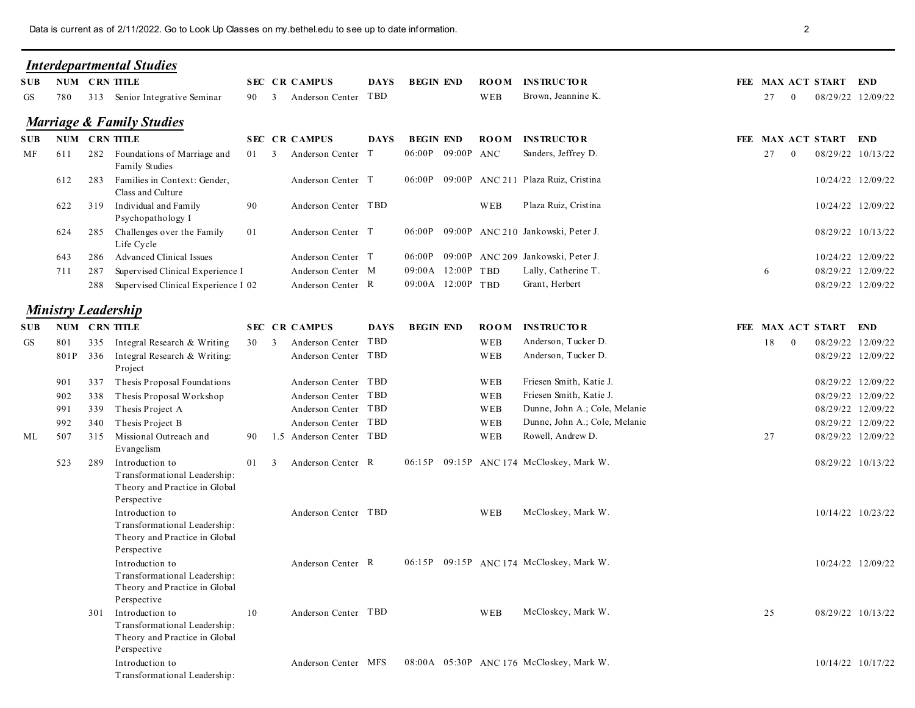|            |            |     | Data is current as of 2/11/2022. Go to Look Up Classes on my bethel edu to see up to date information. |              |                                                   |             |                             |                    |                                                           | $\overline{2}$                          |                                        |
|------------|------------|-----|--------------------------------------------------------------------------------------------------------|--------------|---------------------------------------------------|-------------|-----------------------------|--------------------|-----------------------------------------------------------|-----------------------------------------|----------------------------------------|
|            |            |     | <b>Interdepartmental Studies</b>                                                                       |              |                                                   |             |                             |                    |                                                           |                                         |                                        |
| SUB-<br>GS | 780        |     | NUM CRN TITLE<br>313 Senior Integrative Seminar                                                        | 90 3         | <b>SEC CR CAMPUS</b><br>Anderson Center TBD       | <b>DAYS</b> | <b>BEGIN END</b>            | <b>ROOM</b><br>WEB | <b>INSTRUCTOR</b><br>Brown, Jeannine K.                   | FEE MAX ACT START END<br>27<br>$\theta$ | 08/29/22 12/09/22                      |
|            |            |     | <b>Marriage &amp; Family Studies</b>                                                                   |              |                                                   |             |                             |                    |                                                           |                                         |                                        |
| SUB-       |            |     | NUM CRN TITLE                                                                                          |              | <b>SEC CR CAMPUS</b>                              | <b>DAYS</b> | <b>BEGIN END</b>            | <b>ROOM</b>        | <b>INSTRUCTOR</b>                                         | FEE MAX ACT START END                   |                                        |
| MF         | 611        |     | 282 Foundations of Marriage and<br>Family Studies                                                      | 01 3         | Anderson Center T                                 |             | 06:00P 09:00P ANC           |                    | Sanders, Jeffrey D.                                       | 27<br>$\overline{0}$                    | 08/29/22 10/13/22                      |
|            | 612        | 283 | Families in Context: Gender,<br>Class and Culture                                                      |              | Anderson Center T                                 |             |                             |                    | 06:00P 09:00P ANC 211 Plaza Ruiz, Cristina                |                                         | 10/24/22 12/09/22                      |
|            | 622        |     | 319 Individual and Family<br>Psychopathology I                                                         | 90           | Anderson Center TBD                               |             |                             | WEB                | Plaza Ruiz, Cristina                                      |                                         | 10/24/22 12/09/22                      |
|            | 624        |     | 285 Challenges over the Family<br>Life Cycle                                                           | 01           | Anderson Center T                                 |             |                             |                    | 06:00P 09:00P ANC 210 Jankowski, Peter J.                 |                                         | 08/29/22 10/13/22                      |
|            | 643<br>711 | 287 | 286 Advanced Clinical Issues<br>Supervised Clinical Experience I                                       |              | Anderson Center T<br>Anderson Center M            |             | 06:00P<br>09:00A 12:00P TBD |                    | 09:00P ANC 209 Jankowski, Peter J.<br>Lally, Catherine T. | 6                                       | 10/24/22 12/09/22<br>08/29/22 12/09/22 |
|            |            |     | 288 Supervised Clinical Experience I 02                                                                |              | Anderson Center R                                 |             | 09:00A 12:00P TBD           |                    | Grant, Herbert                                            |                                         | 08/29/22 12/09/22                      |
|            |            |     | <b>Ministry Leadership</b>                                                                             |              |                                                   |             |                             |                    |                                                           |                                         |                                        |
| SUB        |            |     | NUM CRN TITLE                                                                                          |              | <b>SEC CR CAMPUS</b>                              | <b>DAYS</b> | <b>BEGIN END</b>            | <b>ROOM</b>        | <b>INSTRUCTOR</b>                                         | FEE MAX ACT START END                   |                                        |
| GS         | 801        |     | 335 Integral Research & Writing                                                                        | 30 3         | Anderson Center TBD                               |             |                             | WEB                | Anderson, Tucker D.                                       | 18 0                                    | 08/29/22 12/09/22                      |
|            |            | 337 | 801P 336 Integral Research & Writing:<br>Project                                                       |              | Anderson Center TBD<br>Anderson Center TBD        |             |                             | WEB<br>WEB         | Anderson, Tucker D.<br>Friesen Smith, Katie J.            |                                         | 08/29/22 12/09/22<br>08/29/22 12/09/22 |
|            | 901<br>902 | 338 | Thesis Proposal Foundations<br>Thesis Proposal Workshop                                                |              | Anderson Center TBD                               |             |                             | WEB                | Friesen Smith, Katie J.                                   |                                         | 08/29/22 12/09/22                      |
|            | 991        | 339 | Thesis Project A                                                                                       |              | Anderson Center TBD                               |             |                             | WEB                | Dunne, John A.; Cole, Melanie                             |                                         | 08/29/22 12/09/22                      |
|            | 992        | 340 | Thesis Project B<br>315 Missional Outreach and                                                         |              | Anderson Center TBD<br>90 1.5 Anderson Center TBD |             |                             | WEB<br>WEB         | Dunne, John A.; Cole, Melanie<br>Rowell, Andrew D.        |                                         | 08/29/22 12/09/22                      |
| ML         | 507        |     | Evangelism                                                                                             |              |                                                   |             |                             |                    |                                                           | 27                                      | 08/29/22 12/09/22                      |
|            | 523        | 289 | Introduction to<br>Transformational Leadership:<br>Theory and Practice in Global<br>Perspective        | $01 \quad 3$ | Anderson Center R                                 |             |                             |                    | 06:15P 09:15P ANC 174 McCloskey, Mark W.                  |                                         | 08/29/22 10/13/22                      |
|            |            |     | Introduction to<br>Transformational Leadership:<br>Theory and Practice in Global<br>Perspective        |              | Anderson Center TBD                               |             |                             | WEB                | McCloskey, Mark W.                                        |                                         | 10/14/22 10/23/22                      |
|            |            |     | Introduction to<br>Transformational Leadership:<br>Theory and Practice in Global<br>Perspective        |              | Anderson Center R                                 |             |                             |                    | 06:15P 09:15P ANC 174 McCloskey, Mark W.                  |                                         | 10/24/22 12/09/22                      |
|            |            | 301 | Introduction to<br>Transformational Leadership:<br>Theory and Practice in Global<br>Perspective        | 10           | Anderson Center TBD                               |             |                             | WEB                | McCloskey, Mark W.                                        | 25                                      | 08/29/22 10/13/22                      |
|            |            |     | Introduction to<br>Transformational Leadership:                                                        |              | Anderson Center MFS                               |             |                             |                    | 08:00A 05:30P ANC 176 McCloskey, Mark W.                  |                                         | 10/14/22 10/17/22                      |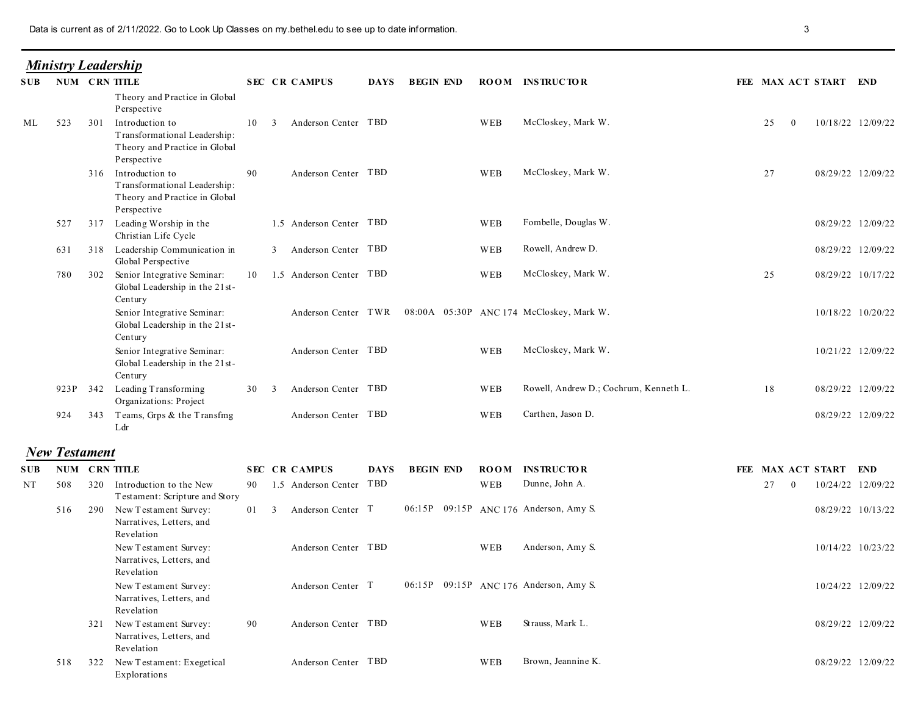| <b>Ministry Leadership</b> |
|----------------------------|
|                            |

|    |                          | Data is current as of 2/11/2022. Go to Look Up Classes on my bethel edu to see up to date information. |                                                                                                     |              |                      |                            |             |                  |     |                                                              |                       |                   |
|----|--------------------------|--------------------------------------------------------------------------------------------------------|-----------------------------------------------------------------------------------------------------|--------------|----------------------|----------------------------|-------------|------------------|-----|--------------------------------------------------------------|-----------------------|-------------------|
|    |                          |                                                                                                        | <b>Ministry Leadership</b>                                                                          |              |                      |                            |             |                  |     |                                                              |                       |                   |
|    | <b>SUB NUM CRN TITLE</b> |                                                                                                        |                                                                                                     |              | <b>SEC CR CAMPUS</b> |                            | <b>DAYS</b> | <b>BEGIN END</b> |     | <b>ROOM INSTRUCTOR</b>                                       | FEE MAX ACT START END |                   |
|    |                          |                                                                                                        | Theory and Practice in Global<br>Perspective                                                        |              |                      |                            |             |                  |     |                                                              |                       |                   |
| ML | 523                      | 301                                                                                                    | Introduction to<br>Transformational Leadership:<br>Theory and Practice in Global<br>Perspective     | $10 \quad 3$ |                      | Anderson Center TBD        |             |                  | WEB | McCloskey, Mark W.                                           | 25<br>$\overline{0}$  | 10/18/22 12/09/22 |
|    |                          |                                                                                                        | 316 Introduction to<br>Transformational Leadership:<br>Theory and Practice in Global<br>Perspective | 90           |                      | Anderson Center TBD        |             |                  | WEB | McCloskey, Mark W.                                           | 27                    | 08/29/22 12/09/22 |
|    | 527                      |                                                                                                        | 317 Leading Worship in the<br>Christian Life Cycle                                                  |              |                      | 1.5 Anderson Center TBD    |             |                  | WEB | Fombelle, Douglas W.                                         |                       | 08/29/22 12/09/22 |
|    |                          |                                                                                                        | 631 318 Leadership Communication in<br>Global Perspective                                           |              |                      | 3 Anderson Center TBD      |             |                  | WEB | Rowell, Andrew D.                                            |                       | 08/29/22 12/09/22 |
|    | 780                      |                                                                                                        | 302 Senior Integrative Seminar:<br>Global Leadership in the 21st-                                   |              |                      | 10 1.5 Anderson Center TBD |             |                  | WEB | McCloskey, Mark W.                                           | 25                    | 08/29/22 10/17/22 |
|    |                          |                                                                                                        | Century<br>Senior Integrative Seminar:<br>Global Leadership in the 21st-<br>Century                 |              |                      |                            |             |                  |     | Anderson Center TWR 08:00A 05:30P ANC 174 McCloskey, Mark W. |                       | 10/18/22 10/20/22 |
|    |                          |                                                                                                        | Senior Integrative Seminar:<br>Global Leadership in the 21st-<br>Century                            |              |                      | Anderson Center TBD        |             |                  | WEB | McCloskey, Mark W.                                           |                       | 10/21/22 12/09/22 |
|    |                          |                                                                                                        | 923P 342 Leading Transforming<br>Organizations: Project                                             | 30           | 3                    | Anderson Center TBD        |             |                  | WEB | Rowell, Andrew D.; Cochrum, Kenneth L.                       | 18                    | 08/29/22 12/09/22 |
|    |                          |                                                                                                        | 924 343 Teams, Grps & the Transfmg<br>Ldr                                                           |              |                      | Anderson Center TBD        |             |                  | WEB | Carthen, Jason D.                                            |                       | 08/29/22 12/09/22 |
|    | <b>New Testament</b>     |                                                                                                        |                                                                                                     |              |                      |                            |             |                  |     |                                                              |                       |                   |
|    | SUB NUM CRN TITLE        |                                                                                                        |                                                                                                     |              | <b>SEC CR CAMPUS</b> |                            | DAYS        | <b>BEGIN END</b> |     | <b>ROOM INSTRUCTOR</b>                                       | FEE MAX ACT START END |                   |
| NT | 508                      |                                                                                                        | 320 Introduction to the New<br>Testament: Scripture and Story                                       |              |                      | 90 1.5 Anderson Center TBD |             |                  | WEB | Dunne, John A.                                               | 27<br>$\overline{0}$  | 10/24/22 12/09/22 |
|    |                          |                                                                                                        | 516 290 New Testament Survey:<br>Narratives, Letters, and                                           |              |                      | 01 3 Anderson Center T     |             |                  |     | 06:15P 09:15P ANC 176 Anderson, Amy S.                       |                       | 08/29/22 10/13/22 |
|    |                          |                                                                                                        | Revelation<br>New Testament Survey:<br>Narratives, Letters, and<br>Revelation                       |              |                      | Anderson Center TBD        |             |                  | WEB | Anderson, Amy S.                                             |                       | 10/14/22 10/23/22 |
|    |                          |                                                                                                        | New Testament Survey:<br>Narratives, Letters, and<br>Revelation                                     |              |                      | Anderson Center T          |             |                  |     | 06:15P 09:15P ANC 176 Anderson, Amy S.                       |                       | 10/24/22 12/09/22 |
|    |                          |                                                                                                        | 321 New Testament Survey:<br>Narratives, Letters, and<br>Revelation                                 | 90           |                      | Anderson Center TBD        |             |                  | WEB | Strauss, Mark L.                                             |                       | 08/29/22 12/09/22 |
|    |                          |                                                                                                        | 518 322 New Testament: Exegetical<br>Explorations                                                   |              |                      | Anderson Center TBD        |             |                  | WEB | Brown, Jeannine K.                                           |                       | 08/29/22 12/09/22 |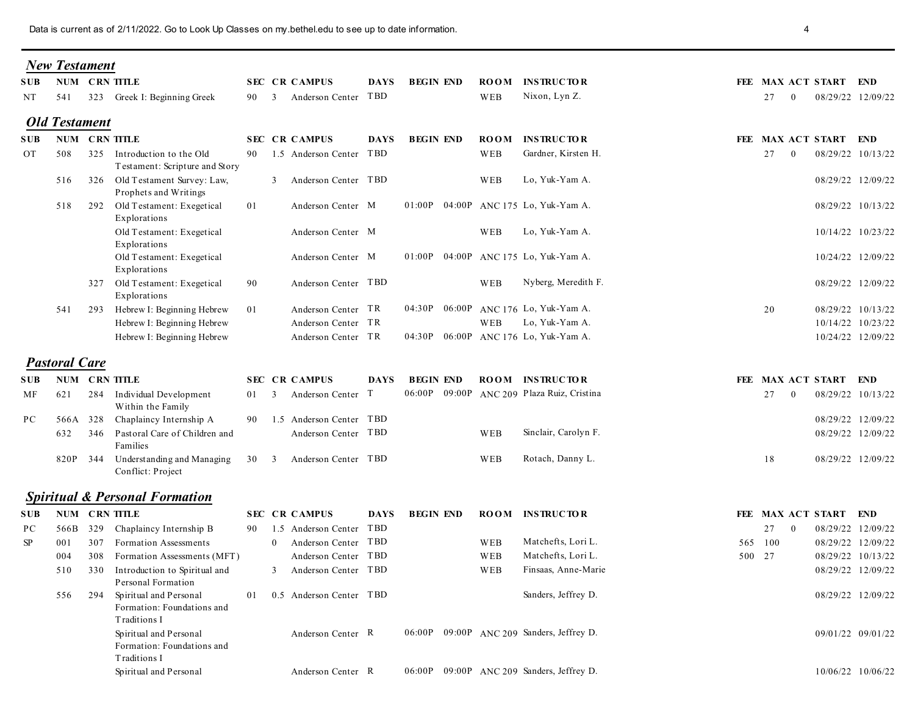| Data is current as of 2/11/2022. Go to Look Up Classes on my bethel.edu to see up to date information.<br>4<br><b>New Testament</b><br><b>SUB NUM CRN TITLE</b><br><b>SEC CR CAMPUS</b><br><b>DAYS</b><br><b>BEGIN END</b><br><b>ROOM</b><br><b>INSTRUCTOR</b><br>FEE MAX ACT START END<br>Anderson Center TBD<br>Nixon, Lyn Z.<br>323 Greek I: Beginning Greek<br>WEB<br>27<br>08/29/22 12/09/22<br>NT<br>541<br>90 3<br>$\bf{0}$<br><b>Old Testament</b><br>NUM CRN TITLE<br><b>SEC CR CAMPUS</b><br><b>INSTRUCTOR</b><br><b>DAYS</b><br><b>BEGIN END</b><br><b>ROOM</b><br>FEE MAX ACT START END<br><b>SUB</b><br>1.5 Anderson Center TBD<br>Gardner, Kirsten H.<br>27<br><b>OT</b><br>325 Introduction to the Old<br>90<br>WEB<br>08/29/22 10/13/22<br>508<br>$\bf{0}$<br>Testament: Scripture and Story<br>Lo, Yuk-Yam A.<br>516 326 Old Testament Survey: Law,<br>3 Anderson Center TBD<br>WEB<br>08/29/22 12/09/22<br>Prophets and Writings<br>518 292 Old Testament: Exegetical<br>01<br>01:00P 04:00P ANC 175 Lo, Yuk-Yam A.<br>Anderson Center M<br>08/29/22 10/13/22<br>Explorations<br>Lo, Yuk-Yam A.<br>Old Testament: Exegetical<br>Anderson Center M<br>WEB<br>10/14/22 10/23/22<br>Explorations<br>01:00P 04:00P ANC 175 Lo, Yuk-Yam A.<br>Old Testament: Exegetical<br>Anderson Center M<br>10/24/22 12/09/22<br>Explorations<br>Nyberg, Meredith F.<br>327 Old Testament: Exegetical<br>90<br>Anderson Center TBD<br>WEB<br>08/29/22 12/09/22<br>Explorations<br>04:30P 06:00P ANC 176 Lo, Yuk-Yam A.<br>Anderson Center TR<br>20<br>08/29/22 10/13/22<br>541<br>Hebrew I: Beginning Hebrew<br>01<br>293<br>Lo, Yuk-Yam A.<br>Hebrew I: Beginning Hebrew<br>Anderson Center TR<br>10/14/22 10/23/22<br>WEB<br>Hebrew I: Beginning Hebrew<br>Anderson Center TR<br>04:30P 06:00P ANC 176 Lo, Yuk-Yam A.<br>10/24/22 12/09/22<br><b>Pastoral Care</b><br><b>SUB NUM CRN TITLE</b><br><b>SEC CR CAMPUS</b><br><b>BEGIN END</b><br><b>ROOM INSTRUCTOR</b><br>FEE MAX ACT START END<br><b>DAYS</b><br>06:00P 09:00P ANC 209 Plaza Ruiz, Cristina<br>284 Individual Development<br>$27 \t0$<br>08/29/22 10/13/22<br>01 3 Anderson Center T<br>621<br>MF<br>Within the Family<br>566A 328 Chaplaincy Internship A<br>90 1.5 Anderson Center TBD<br>08/29/22 12/09/22<br>PС<br>Sinclair, Carolyn F.<br>Anderson Center TBD<br>346 Pastoral Care of Children and<br>08/29/22 12/09/22<br>632<br>WEB<br>Families<br>Rotach, Danny L.<br>820P 344 Understanding and Managing<br>Anderson Center TBD<br>18<br>30<br>WEB<br>08/29/22 12/09/22<br>$\overline{\mathbf{3}}$<br>Conflict: Project<br><b>Spiritual &amp; Personal Formation</b><br>NUM CRN TITLE<br><b>SEC CR CAMPUS</b><br><b>BEGIN END</b><br>ROOM INSTRUCTOR<br>FEE MAX ACT START END<br><b>DAYS</b><br>SUB<br>1.5 Anderson Center TBD<br>08/29/22 12/09/22<br>566B 329 Chaplaincy Internship B<br>27<br>PC<br>90<br>$\overline{\phantom{0}}$<br>0 Anderson Center TBD<br>Matchefts, Lori L.<br>565 100<br>08/29/22 12/09/22<br>SP<br>307<br>Formation Assessments<br>WEB<br>001<br>Matchefts, Lori L.<br>Anderson Center TBD<br>500 27<br>08/29/22 10/13/22<br>004<br>308<br>Formation Assessments (MFT)<br>WEB<br>3 Anderson Center TBD<br>Finsaas, Anne-Marie<br>08/29/22 12/09/22<br>330<br>Introduction to Spiritual and<br>WEB<br>510<br>Personal Formation<br>Sanders, Jeffrey D.<br>Spiritual and Personal<br>0.5 Anderson Center TBD<br>556 294<br>01<br>08/29/22 12/09/22<br>Formation: Foundations and<br>Traditions I<br>06:00P 09:00P ANC 209 Sanders, Jeffrey D.<br>Spiritual and Personal<br>Anderson Center R<br>09/01/22 09/01/22<br>Formation: Foundations and<br>Traditions I |  |  |  |  |  |  |  |
|---------------------------------------------------------------------------------------------------------------------------------------------------------------------------------------------------------------------------------------------------------------------------------------------------------------------------------------------------------------------------------------------------------------------------------------------------------------------------------------------------------------------------------------------------------------------------------------------------------------------------------------------------------------------------------------------------------------------------------------------------------------------------------------------------------------------------------------------------------------------------------------------------------------------------------------------------------------------------------------------------------------------------------------------------------------------------------------------------------------------------------------------------------------------------------------------------------------------------------------------------------------------------------------------------------------------------------------------------------------------------------------------------------------------------------------------------------------------------------------------------------------------------------------------------------------------------------------------------------------------------------------------------------------------------------------------------------------------------------------------------------------------------------------------------------------------------------------------------------------------------------------------------------------------------------------------------------------------------------------------------------------------------------------------------------------------------------------------------------------------------------------------------------------------------------------------------------------------------------------------------------------------------------------------------------------------------------------------------------------------------------------------------------------------------------------------------------------------------------------------------------------------------------------------------------------------------------------------------------------------------------------------------------------------------------------------------------------------------------------------------------------------------------------------------------------------------------------------------------------------------------------------------------------------------------------------------------------------------------------------------------------------------------------------------------------------------------------------------------------------------------------------------------------------------------------------------------------------------------------------------------------------------------------------------------------------------------------------------------------------------------------------------------------------------------------------------------------------------------------------------------------------------------------------------------------------------------------------------------------------------------------------------------------------|--|--|--|--|--|--|--|
|                                                                                                                                                                                                                                                                                                                                                                                                                                                                                                                                                                                                                                                                                                                                                                                                                                                                                                                                                                                                                                                                                                                                                                                                                                                                                                                                                                                                                                                                                                                                                                                                                                                                                                                                                                                                                                                                                                                                                                                                                                                                                                                                                                                                                                                                                                                                                                                                                                                                                                                                                                                                                                                                                                                                                                                                                                                                                                                                                                                                                                                                                                                                                                                                                                                                                                                                                                                                                                                                                                                                                                                                                                                                     |  |  |  |  |  |  |  |
|                                                                                                                                                                                                                                                                                                                                                                                                                                                                                                                                                                                                                                                                                                                                                                                                                                                                                                                                                                                                                                                                                                                                                                                                                                                                                                                                                                                                                                                                                                                                                                                                                                                                                                                                                                                                                                                                                                                                                                                                                                                                                                                                                                                                                                                                                                                                                                                                                                                                                                                                                                                                                                                                                                                                                                                                                                                                                                                                                                                                                                                                                                                                                                                                                                                                                                                                                                                                                                                                                                                                                                                                                                                                     |  |  |  |  |  |  |  |
|                                                                                                                                                                                                                                                                                                                                                                                                                                                                                                                                                                                                                                                                                                                                                                                                                                                                                                                                                                                                                                                                                                                                                                                                                                                                                                                                                                                                                                                                                                                                                                                                                                                                                                                                                                                                                                                                                                                                                                                                                                                                                                                                                                                                                                                                                                                                                                                                                                                                                                                                                                                                                                                                                                                                                                                                                                                                                                                                                                                                                                                                                                                                                                                                                                                                                                                                                                                                                                                                                                                                                                                                                                                                     |  |  |  |  |  |  |  |
|                                                                                                                                                                                                                                                                                                                                                                                                                                                                                                                                                                                                                                                                                                                                                                                                                                                                                                                                                                                                                                                                                                                                                                                                                                                                                                                                                                                                                                                                                                                                                                                                                                                                                                                                                                                                                                                                                                                                                                                                                                                                                                                                                                                                                                                                                                                                                                                                                                                                                                                                                                                                                                                                                                                                                                                                                                                                                                                                                                                                                                                                                                                                                                                                                                                                                                                                                                                                                                                                                                                                                                                                                                                                     |  |  |  |  |  |  |  |
|                                                                                                                                                                                                                                                                                                                                                                                                                                                                                                                                                                                                                                                                                                                                                                                                                                                                                                                                                                                                                                                                                                                                                                                                                                                                                                                                                                                                                                                                                                                                                                                                                                                                                                                                                                                                                                                                                                                                                                                                                                                                                                                                                                                                                                                                                                                                                                                                                                                                                                                                                                                                                                                                                                                                                                                                                                                                                                                                                                                                                                                                                                                                                                                                                                                                                                                                                                                                                                                                                                                                                                                                                                                                     |  |  |  |  |  |  |  |
|                                                                                                                                                                                                                                                                                                                                                                                                                                                                                                                                                                                                                                                                                                                                                                                                                                                                                                                                                                                                                                                                                                                                                                                                                                                                                                                                                                                                                                                                                                                                                                                                                                                                                                                                                                                                                                                                                                                                                                                                                                                                                                                                                                                                                                                                                                                                                                                                                                                                                                                                                                                                                                                                                                                                                                                                                                                                                                                                                                                                                                                                                                                                                                                                                                                                                                                                                                                                                                                                                                                                                                                                                                                                     |  |  |  |  |  |  |  |
|                                                                                                                                                                                                                                                                                                                                                                                                                                                                                                                                                                                                                                                                                                                                                                                                                                                                                                                                                                                                                                                                                                                                                                                                                                                                                                                                                                                                                                                                                                                                                                                                                                                                                                                                                                                                                                                                                                                                                                                                                                                                                                                                                                                                                                                                                                                                                                                                                                                                                                                                                                                                                                                                                                                                                                                                                                                                                                                                                                                                                                                                                                                                                                                                                                                                                                                                                                                                                                                                                                                                                                                                                                                                     |  |  |  |  |  |  |  |
|                                                                                                                                                                                                                                                                                                                                                                                                                                                                                                                                                                                                                                                                                                                                                                                                                                                                                                                                                                                                                                                                                                                                                                                                                                                                                                                                                                                                                                                                                                                                                                                                                                                                                                                                                                                                                                                                                                                                                                                                                                                                                                                                                                                                                                                                                                                                                                                                                                                                                                                                                                                                                                                                                                                                                                                                                                                                                                                                                                                                                                                                                                                                                                                                                                                                                                                                                                                                                                                                                                                                                                                                                                                                     |  |  |  |  |  |  |  |
|                                                                                                                                                                                                                                                                                                                                                                                                                                                                                                                                                                                                                                                                                                                                                                                                                                                                                                                                                                                                                                                                                                                                                                                                                                                                                                                                                                                                                                                                                                                                                                                                                                                                                                                                                                                                                                                                                                                                                                                                                                                                                                                                                                                                                                                                                                                                                                                                                                                                                                                                                                                                                                                                                                                                                                                                                                                                                                                                                                                                                                                                                                                                                                                                                                                                                                                                                                                                                                                                                                                                                                                                                                                                     |  |  |  |  |  |  |  |
|                                                                                                                                                                                                                                                                                                                                                                                                                                                                                                                                                                                                                                                                                                                                                                                                                                                                                                                                                                                                                                                                                                                                                                                                                                                                                                                                                                                                                                                                                                                                                                                                                                                                                                                                                                                                                                                                                                                                                                                                                                                                                                                                                                                                                                                                                                                                                                                                                                                                                                                                                                                                                                                                                                                                                                                                                                                                                                                                                                                                                                                                                                                                                                                                                                                                                                                                                                                                                                                                                                                                                                                                                                                                     |  |  |  |  |  |  |  |
|                                                                                                                                                                                                                                                                                                                                                                                                                                                                                                                                                                                                                                                                                                                                                                                                                                                                                                                                                                                                                                                                                                                                                                                                                                                                                                                                                                                                                                                                                                                                                                                                                                                                                                                                                                                                                                                                                                                                                                                                                                                                                                                                                                                                                                                                                                                                                                                                                                                                                                                                                                                                                                                                                                                                                                                                                                                                                                                                                                                                                                                                                                                                                                                                                                                                                                                                                                                                                                                                                                                                                                                                                                                                     |  |  |  |  |  |  |  |
|                                                                                                                                                                                                                                                                                                                                                                                                                                                                                                                                                                                                                                                                                                                                                                                                                                                                                                                                                                                                                                                                                                                                                                                                                                                                                                                                                                                                                                                                                                                                                                                                                                                                                                                                                                                                                                                                                                                                                                                                                                                                                                                                                                                                                                                                                                                                                                                                                                                                                                                                                                                                                                                                                                                                                                                                                                                                                                                                                                                                                                                                                                                                                                                                                                                                                                                                                                                                                                                                                                                                                                                                                                                                     |  |  |  |  |  |  |  |
|                                                                                                                                                                                                                                                                                                                                                                                                                                                                                                                                                                                                                                                                                                                                                                                                                                                                                                                                                                                                                                                                                                                                                                                                                                                                                                                                                                                                                                                                                                                                                                                                                                                                                                                                                                                                                                                                                                                                                                                                                                                                                                                                                                                                                                                                                                                                                                                                                                                                                                                                                                                                                                                                                                                                                                                                                                                                                                                                                                                                                                                                                                                                                                                                                                                                                                                                                                                                                                                                                                                                                                                                                                                                     |  |  |  |  |  |  |  |
|                                                                                                                                                                                                                                                                                                                                                                                                                                                                                                                                                                                                                                                                                                                                                                                                                                                                                                                                                                                                                                                                                                                                                                                                                                                                                                                                                                                                                                                                                                                                                                                                                                                                                                                                                                                                                                                                                                                                                                                                                                                                                                                                                                                                                                                                                                                                                                                                                                                                                                                                                                                                                                                                                                                                                                                                                                                                                                                                                                                                                                                                                                                                                                                                                                                                                                                                                                                                                                                                                                                                                                                                                                                                     |  |  |  |  |  |  |  |
|                                                                                                                                                                                                                                                                                                                                                                                                                                                                                                                                                                                                                                                                                                                                                                                                                                                                                                                                                                                                                                                                                                                                                                                                                                                                                                                                                                                                                                                                                                                                                                                                                                                                                                                                                                                                                                                                                                                                                                                                                                                                                                                                                                                                                                                                                                                                                                                                                                                                                                                                                                                                                                                                                                                                                                                                                                                                                                                                                                                                                                                                                                                                                                                                                                                                                                                                                                                                                                                                                                                                                                                                                                                                     |  |  |  |  |  |  |  |
|                                                                                                                                                                                                                                                                                                                                                                                                                                                                                                                                                                                                                                                                                                                                                                                                                                                                                                                                                                                                                                                                                                                                                                                                                                                                                                                                                                                                                                                                                                                                                                                                                                                                                                                                                                                                                                                                                                                                                                                                                                                                                                                                                                                                                                                                                                                                                                                                                                                                                                                                                                                                                                                                                                                                                                                                                                                                                                                                                                                                                                                                                                                                                                                                                                                                                                                                                                                                                                                                                                                                                                                                                                                                     |  |  |  |  |  |  |  |
|                                                                                                                                                                                                                                                                                                                                                                                                                                                                                                                                                                                                                                                                                                                                                                                                                                                                                                                                                                                                                                                                                                                                                                                                                                                                                                                                                                                                                                                                                                                                                                                                                                                                                                                                                                                                                                                                                                                                                                                                                                                                                                                                                                                                                                                                                                                                                                                                                                                                                                                                                                                                                                                                                                                                                                                                                                                                                                                                                                                                                                                                                                                                                                                                                                                                                                                                                                                                                                                                                                                                                                                                                                                                     |  |  |  |  |  |  |  |
|                                                                                                                                                                                                                                                                                                                                                                                                                                                                                                                                                                                                                                                                                                                                                                                                                                                                                                                                                                                                                                                                                                                                                                                                                                                                                                                                                                                                                                                                                                                                                                                                                                                                                                                                                                                                                                                                                                                                                                                                                                                                                                                                                                                                                                                                                                                                                                                                                                                                                                                                                                                                                                                                                                                                                                                                                                                                                                                                                                                                                                                                                                                                                                                                                                                                                                                                                                                                                                                                                                                                                                                                                                                                     |  |  |  |  |  |  |  |
|                                                                                                                                                                                                                                                                                                                                                                                                                                                                                                                                                                                                                                                                                                                                                                                                                                                                                                                                                                                                                                                                                                                                                                                                                                                                                                                                                                                                                                                                                                                                                                                                                                                                                                                                                                                                                                                                                                                                                                                                                                                                                                                                                                                                                                                                                                                                                                                                                                                                                                                                                                                                                                                                                                                                                                                                                                                                                                                                                                                                                                                                                                                                                                                                                                                                                                                                                                                                                                                                                                                                                                                                                                                                     |  |  |  |  |  |  |  |
|                                                                                                                                                                                                                                                                                                                                                                                                                                                                                                                                                                                                                                                                                                                                                                                                                                                                                                                                                                                                                                                                                                                                                                                                                                                                                                                                                                                                                                                                                                                                                                                                                                                                                                                                                                                                                                                                                                                                                                                                                                                                                                                                                                                                                                                                                                                                                                                                                                                                                                                                                                                                                                                                                                                                                                                                                                                                                                                                                                                                                                                                                                                                                                                                                                                                                                                                                                                                                                                                                                                                                                                                                                                                     |  |  |  |  |  |  |  |
|                                                                                                                                                                                                                                                                                                                                                                                                                                                                                                                                                                                                                                                                                                                                                                                                                                                                                                                                                                                                                                                                                                                                                                                                                                                                                                                                                                                                                                                                                                                                                                                                                                                                                                                                                                                                                                                                                                                                                                                                                                                                                                                                                                                                                                                                                                                                                                                                                                                                                                                                                                                                                                                                                                                                                                                                                                                                                                                                                                                                                                                                                                                                                                                                                                                                                                                                                                                                                                                                                                                                                                                                                                                                     |  |  |  |  |  |  |  |
|                                                                                                                                                                                                                                                                                                                                                                                                                                                                                                                                                                                                                                                                                                                                                                                                                                                                                                                                                                                                                                                                                                                                                                                                                                                                                                                                                                                                                                                                                                                                                                                                                                                                                                                                                                                                                                                                                                                                                                                                                                                                                                                                                                                                                                                                                                                                                                                                                                                                                                                                                                                                                                                                                                                                                                                                                                                                                                                                                                                                                                                                                                                                                                                                                                                                                                                                                                                                                                                                                                                                                                                                                                                                     |  |  |  |  |  |  |  |
|                                                                                                                                                                                                                                                                                                                                                                                                                                                                                                                                                                                                                                                                                                                                                                                                                                                                                                                                                                                                                                                                                                                                                                                                                                                                                                                                                                                                                                                                                                                                                                                                                                                                                                                                                                                                                                                                                                                                                                                                                                                                                                                                                                                                                                                                                                                                                                                                                                                                                                                                                                                                                                                                                                                                                                                                                                                                                                                                                                                                                                                                                                                                                                                                                                                                                                                                                                                                                                                                                                                                                                                                                                                                     |  |  |  |  |  |  |  |
|                                                                                                                                                                                                                                                                                                                                                                                                                                                                                                                                                                                                                                                                                                                                                                                                                                                                                                                                                                                                                                                                                                                                                                                                                                                                                                                                                                                                                                                                                                                                                                                                                                                                                                                                                                                                                                                                                                                                                                                                                                                                                                                                                                                                                                                                                                                                                                                                                                                                                                                                                                                                                                                                                                                                                                                                                                                                                                                                                                                                                                                                                                                                                                                                                                                                                                                                                                                                                                                                                                                                                                                                                                                                     |  |  |  |  |  |  |  |
|                                                                                                                                                                                                                                                                                                                                                                                                                                                                                                                                                                                                                                                                                                                                                                                                                                                                                                                                                                                                                                                                                                                                                                                                                                                                                                                                                                                                                                                                                                                                                                                                                                                                                                                                                                                                                                                                                                                                                                                                                                                                                                                                                                                                                                                                                                                                                                                                                                                                                                                                                                                                                                                                                                                                                                                                                                                                                                                                                                                                                                                                                                                                                                                                                                                                                                                                                                                                                                                                                                                                                                                                                                                                     |  |  |  |  |  |  |  |
|                                                                                                                                                                                                                                                                                                                                                                                                                                                                                                                                                                                                                                                                                                                                                                                                                                                                                                                                                                                                                                                                                                                                                                                                                                                                                                                                                                                                                                                                                                                                                                                                                                                                                                                                                                                                                                                                                                                                                                                                                                                                                                                                                                                                                                                                                                                                                                                                                                                                                                                                                                                                                                                                                                                                                                                                                                                                                                                                                                                                                                                                                                                                                                                                                                                                                                                                                                                                                                                                                                                                                                                                                                                                     |  |  |  |  |  |  |  |
|                                                                                                                                                                                                                                                                                                                                                                                                                                                                                                                                                                                                                                                                                                                                                                                                                                                                                                                                                                                                                                                                                                                                                                                                                                                                                                                                                                                                                                                                                                                                                                                                                                                                                                                                                                                                                                                                                                                                                                                                                                                                                                                                                                                                                                                                                                                                                                                                                                                                                                                                                                                                                                                                                                                                                                                                                                                                                                                                                                                                                                                                                                                                                                                                                                                                                                                                                                                                                                                                                                                                                                                                                                                                     |  |  |  |  |  |  |  |
|                                                                                                                                                                                                                                                                                                                                                                                                                                                                                                                                                                                                                                                                                                                                                                                                                                                                                                                                                                                                                                                                                                                                                                                                                                                                                                                                                                                                                                                                                                                                                                                                                                                                                                                                                                                                                                                                                                                                                                                                                                                                                                                                                                                                                                                                                                                                                                                                                                                                                                                                                                                                                                                                                                                                                                                                                                                                                                                                                                                                                                                                                                                                                                                                                                                                                                                                                                                                                                                                                                                                                                                                                                                                     |  |  |  |  |  |  |  |
|                                                                                                                                                                                                                                                                                                                                                                                                                                                                                                                                                                                                                                                                                                                                                                                                                                                                                                                                                                                                                                                                                                                                                                                                                                                                                                                                                                                                                                                                                                                                                                                                                                                                                                                                                                                                                                                                                                                                                                                                                                                                                                                                                                                                                                                                                                                                                                                                                                                                                                                                                                                                                                                                                                                                                                                                                                                                                                                                                                                                                                                                                                                                                                                                                                                                                                                                                                                                                                                                                                                                                                                                                                                                     |  |  |  |  |  |  |  |
|                                                                                                                                                                                                                                                                                                                                                                                                                                                                                                                                                                                                                                                                                                                                                                                                                                                                                                                                                                                                                                                                                                                                                                                                                                                                                                                                                                                                                                                                                                                                                                                                                                                                                                                                                                                                                                                                                                                                                                                                                                                                                                                                                                                                                                                                                                                                                                                                                                                                                                                                                                                                                                                                                                                                                                                                                                                                                                                                                                                                                                                                                                                                                                                                                                                                                                                                                                                                                                                                                                                                                                                                                                                                     |  |  |  |  |  |  |  |
| 06:00P 09:00P ANC 209 Sanders, Jeffrey D.<br>Spiritual and Personal<br>Anderson Center R<br>10/06/22 10/06/22                                                                                                                                                                                                                                                                                                                                                                                                                                                                                                                                                                                                                                                                                                                                                                                                                                                                                                                                                                                                                                                                                                                                                                                                                                                                                                                                                                                                                                                                                                                                                                                                                                                                                                                                                                                                                                                                                                                                                                                                                                                                                                                                                                                                                                                                                                                                                                                                                                                                                                                                                                                                                                                                                                                                                                                                                                                                                                                                                                                                                                                                                                                                                                                                                                                                                                                                                                                                                                                                                                                                                       |  |  |  |  |  |  |  |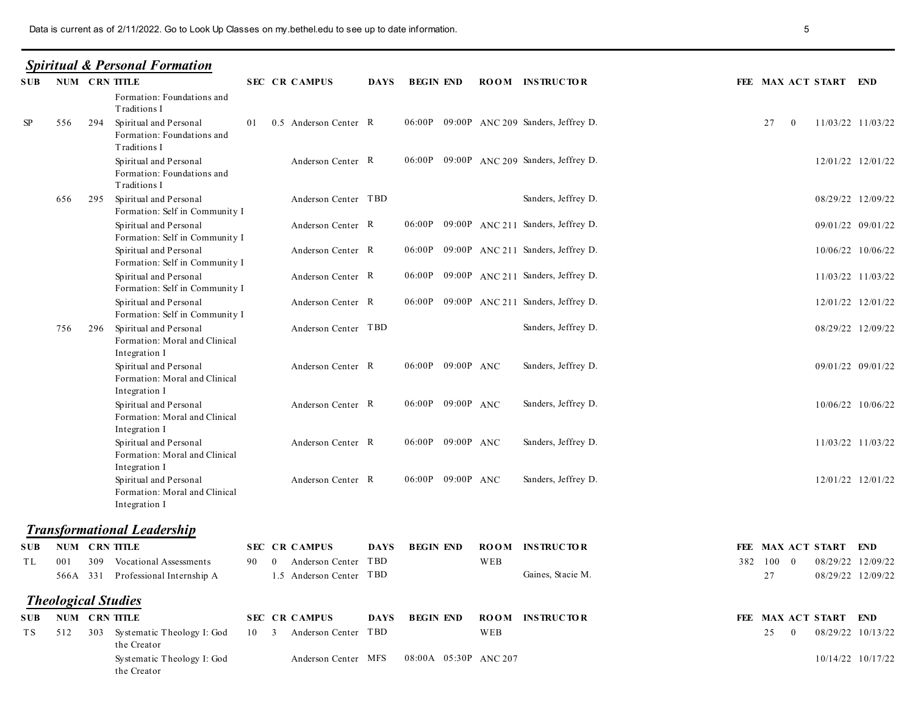## **Spiritual & Personal Formation**

|            |                      |     | Data is current as of 2/11/2022. Go to Look Up Classes on my bethel.edu to see up to date information. |                                                     |             |                       |     |                                           | 5                                                         |  |
|------------|----------------------|-----|--------------------------------------------------------------------------------------------------------|-----------------------------------------------------|-------------|-----------------------|-----|-------------------------------------------|-----------------------------------------------------------|--|
|            |                      |     | <b>Spiritual &amp; Personal Formation</b><br><b>SUB NUM CRN TITLE</b>                                  | <b>SEC CR CAMPUS</b>                                |             | DAYS BEGIN END        |     | <b>ROOM INSTRUCTOR</b>                    | FEE MAX ACT START END                                     |  |
|            |                      |     | Formation: Foundations and                                                                             |                                                     |             |                       |     |                                           |                                                           |  |
| SP         | 556                  | 294 | Traditions I<br>Spiritual and Personal<br>Formation: Foundations and                                   | 01 0.5 Anderson Center R                            |             |                       |     | 06:00P 09:00P ANC 209 Sanders, Jeffrey D. | 27<br>11/03/22 11/03/22<br>$\bf{0}$                       |  |
|            |                      |     | Traditions I<br>Spiritual and Personal<br>Formation: Foundations and                                   | Anderson Center R                                   |             |                       |     | 06:00P 09:00P ANC 209 Sanders, Jeffrey D. | 12/01/22 12/01/22                                         |  |
|            | 656                  | 295 | Traditions I<br>Spiritual and Personal<br>Formation: Self in Community I                               | Anderson Center TBD                                 |             |                       |     | Sanders, Jeffrey D.                       | 08/29/22 12/09/22                                         |  |
|            |                      |     | Spiritual and Personal                                                                                 | Anderson Center R                                   |             |                       |     | 06:00P 09:00P ANC 211 Sanders, Jeffrey D. | 09/01/22 09/01/22                                         |  |
|            |                      |     | Formation: Self in Community I<br>Spiritual and Personal                                               | Anderson Center R                                   |             |                       |     | 06:00P 09:00P ANC 211 Sanders, Jeffrey D. | 10/06/22 10/06/22                                         |  |
|            |                      |     | Formation: Self in Community I<br>Spiritual and Personal<br>Formation: Self in Community I             | Anderson Center R                                   |             |                       |     | 06:00P 09:00P ANC 211 Sanders, Jeffrey D. | 11/03/22 11/03/22                                         |  |
|            |                      |     | Spiritual and Personal<br>Formation: Self in Community I                                               | Anderson Center R                                   |             |                       |     | 06:00P 09:00P ANC 211 Sanders, Jeffrey D. | 12/01/22 12/01/22                                         |  |
|            | 756                  |     | 296 Spiritual and Personal<br>Formation: Moral and Clinical<br>Integration I                           | Anderson Center TBD                                 |             |                       |     | Sanders, Jeffrey D.                       | 08/29/22 12/09/22                                         |  |
|            |                      |     | Spiritual and Personal<br>Formation: Moral and Clinical<br>Integration I                               | Anderson Center R                                   |             | 06:00P 09:00P ANC     |     | Sanders, Jeffrey D.                       | 09/01/22 09/01/22                                         |  |
|            |                      |     | Spiritual and Personal<br>Formation: Moral and Clinical<br>Integration I                               | Anderson Center R                                   |             | 06:00P 09:00P ANC     |     | Sanders, Jeffrey D.                       | 10/06/22 10/06/22                                         |  |
|            |                      |     | Spiritual and Personal<br>Formation: Moral and Clinical<br>Integration I                               | Anderson Center R                                   |             | 06:00P 09:00P ANC     |     | Sanders, Jeffrey D.                       | 11/03/22 11/03/22                                         |  |
|            |                      |     | Spiritual and Personal<br>Formation: Moral and Clinical<br>Integration I                               | Anderson Center R                                   |             | 06:00P 09:00P ANC     |     | Sanders, Jeffrey D.                       | 12/01/22 12/01/22                                         |  |
|            |                      |     | <b>Transformational Leadership</b>                                                                     |                                                     |             |                       |     |                                           |                                                           |  |
|            |                      |     | <b>SUB NUM CRN TITLE</b>                                                                               | <b>SEC CR CAMPUS</b>                                | <b>DAYS</b> | <b>BEGIN END</b>      |     | <b>ROOM INSTRUCTOR</b>                    | FEE MAX ACT START END                                     |  |
| TL         | 001                  |     | 309 Vocational Assessments<br>566A 331 Professional Internship A                                       | 90 0 Anderson Center TBD<br>1.5 Anderson Center TBD |             |                       | WEB | Gaines, Stacie M.                         | 08/29/22 12/09/22<br>382 100 0<br>27<br>08/29/22 12/09/22 |  |
|            |                      |     | <b>Theological Studies</b>                                                                             |                                                     |             |                       |     |                                           |                                                           |  |
| <b>SUB</b> | <b>NUM CRN TITLE</b> |     |                                                                                                        | <b>SEC CR CAMPUS</b>                                | <b>DAYS</b> | <b>BEGIN END</b>      |     | <b>ROOM INSTRUCTOR</b>                    | FEE MAX ACT START END                                     |  |
| T S        |                      |     | 512 303 Systematic Theology I: God<br>the Creator<br>Systematic Theology I: God<br>the Creator         | 10 3 Anderson Center TBD<br>Anderson Center MFS     |             | 08:00A 05:30P ANC 207 | WEB |                                           | 25<br>08/29/22 10/13/22<br>$\bf{0}$<br>10/14/22 10/17/22  |  |